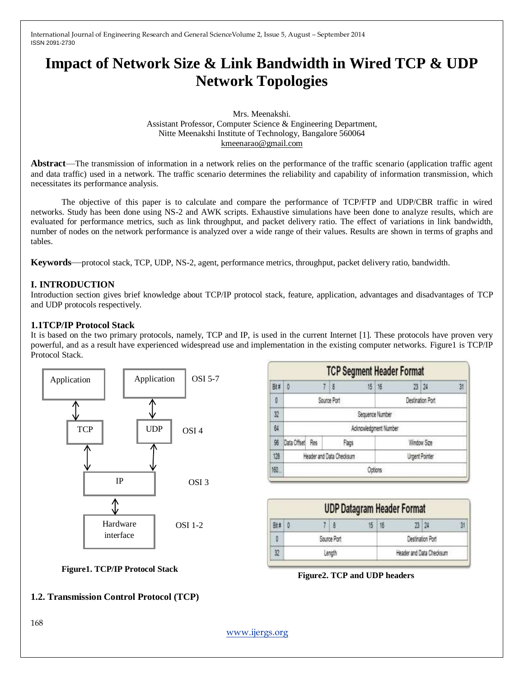## **Impact of Network Size & Link Bandwidth in Wired TCP & UDP Network Topologies**

Mrs. Meenakshi. Assistant Professor, Computer Science & Engineering Department, Nitte Meenakshi Institute of Technology, Bangalore 560064 [kmeenarao@gmail.com](mailto:kmeenarao@gmail.com)

**Abstract**—The transmission of information in a network relies on the performance of the traffic scenario (application traffic agent and data traffic) used in a network. The traffic scenario determines the reliability and capability of information transmission, which necessitates its performance analysis.

The objective of this paper is to calculate and compare the performance of TCP/FTP and UDP/CBR traffic in wired networks. Study has been done using NS-2 and AWK scripts. Exhaustive simulations have been done to analyze results, which are evaluated for performance metrics, such as link throughput, and packet delivery ratio. The effect of variations in link bandwidth, number of nodes on the network performance is analyzed over a wide range of their values. Results are shown in terms of graphs and tables.

**Keywords**—protocol stack, TCP, UDP, NS-2, agent, performance metrics, throughput, packet delivery ratio, bandwidth.

#### **I. INTRODUCTION**

Introduction section gives brief knowledge about TCP/IP protocol stack, feature, application, advantages and disadvantages of TCP and UDP protocols respectively.

#### **1.1TCP/IP Protocol Stack**

It is based on the two primary protocols, namely, TCP and IP, is used in the current Internet [1]. These protocols have proven very powerful, and as a result have experienced widespread use and implementation in the existing computer networks. Figure1 is TCP/IP Protocol Stack.



|     |                                            |  | <b>TCP Segment Header Format</b> |  |             |  |              |    |
|-----|--------------------------------------------|--|----------------------------------|--|-------------|--|--------------|----|
| Bit | 10                                         |  | 78                               |  | 15   16     |  | $23 \mid 24$ | 31 |
| O   | Destination Port<br>Source Port            |  |                                  |  |             |  |              |    |
| 32  | Sequence Number                            |  |                                  |  |             |  |              |    |
| 64  | Acknowledgment Number                      |  |                                  |  |             |  |              |    |
| 96  | Data Offset Res<br>Flags                   |  |                                  |  | Window Size |  |              |    |
| 128 | Header and Oata Checksum<br>Urgent Pointer |  |                                  |  |             |  |              |    |
| 160 | Octions                                    |  |                                  |  |             |  |              |    |

| <b>UDP Datagram Header Format</b> |  |  |                          |  |                  |  |  |
|-----------------------------------|--|--|--------------------------|--|------------------|--|--|
|                                   |  |  | 15                       |  |                  |  |  |
| Source Port                       |  |  |                          |  | Destination Port |  |  |
| Lenath                            |  |  | Header and Data Checksum |  |                  |  |  |

**Figure2. TCP and UDP headers**

# **Figure1. TCP/IP Protocol Stack**

#### **1.2. Transmission Control Protocol (TCP)**

168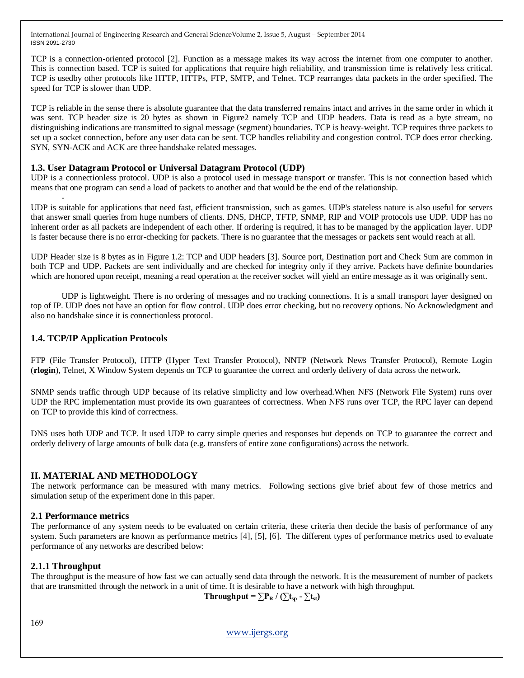TCP is a connection-oriented protocol [2]. Function as a message makes its way across the internet from one computer to another. This is connection based. TCP is suited for applications that require high reliability, and transmission time is relatively less critical. TCP is usedby other protocols like HTTP, HTTPs, FTP, SMTP, and Telnet. TCP rearranges data packets in the order specified. The speed for TCP is slower than UDP.

TCP is reliable in the sense there is absolute guarantee that the data transferred remains intact and arrives in the same order in which it was sent. TCP header size is 20 bytes as shown in Figure2 namely TCP and UDP headers. Data is read as a byte stream, no distinguishing indications are transmitted to signal message (segment) boundaries. TCP is heavy-weight. TCP requires three packets to set up a socket connection, before any user data can be sent. TCP handles reliability and congestion control. TCP does error checking. SYN, SYN-ACK and ACK are three handshake related messages.

#### **1.3. User Datagram Protocol or Universal Datagram Protocol (UDP)**

UDP is a connectionless protocol. UDP is also a protocol used in message transport or transfer. This is not connection based which means that one program can send a load of packets to another and that would be the end of the relationship.

UDP is suitable for applications that need fast, efficient transmission, such as games. UDP's stateless nature is also useful for servers that answer small queries from huge numbers of clients. DNS, DHCP, TFTP, SNMP, RIP and VOIP protocols use UDP. UDP has no inherent order as all packets are independent of each other. If ordering is required, it has to be managed by the application layer. UDP is faster because there is no error-checking for packets. There is no guarantee that the messages or packets sent would reach at all.

UDP Header size is 8 bytes as in Figure 1.2: TCP and UDP headers [3]. Source port, Destination port and Check Sum are common in both TCP and UDP. Packets are sent individually and are checked for integrity only if they arrive. Packets have definite boundaries which are honored upon receipt, meaning a read operation at the receiver socket will yield an entire message as it was originally sent.

UDP is lightweight. There is no ordering of messages and no tracking connections. It is a small transport layer designed on top of IP. UDP does not have an option for flow control. UDP does error checking, but no recovery options. No Acknowledgment and also no handshake since it is connectionless protocol.

#### **1.4. TCP/IP Application Protocols**

-

FTP (File Transfer Protocol), HTTP (Hyper Text Transfer Protocol), NNTP (Network News Transfer Protocol), Remote Login (**rlogin**), Telnet, X Window System depends on TCP to guarantee the correct and orderly delivery of data across the network.

SNMP sends traffic through UDP because of its relative simplicity and low overhead.When NFS (Network File System) runs over UDP the RPC implementation must provide its own guarantees of correctness. When NFS runs over TCP, the RPC layer can depend on TCP to provide this kind of correctness.

DNS uses both UDP and TCP. It used UDP to carry simple queries and responses but depends on TCP to guarantee the correct and orderly delivery of large amounts of bulk data (e.g. transfers of entire zone configurations) across the network.

#### **II. MATERIAL AND METHODOLOGY**

The network performance can be measured with many metrics. Following sections give brief about few of those metrics and simulation setup of the experiment done in this paper.

#### **2.1 Performance metrics**

The performance of any system needs to be evaluated on certain criteria, these criteria then decide the basis of performance of any system. Such parameters are known as performance metrics [4], [5], [6]. The different types of performance metrics used to evaluate performance of any networks are described below:

#### **2.1.1 Throughput**

The throughput is the measure of how fast we can actually send data through the network. It is the measurement of number of packets that are transmitted through the network in a unit of time. It is desirable to have a network with high throughput.

**Throughput =**  $\sum P_{\text{R}} / (\sum t_{\text{sp}} - \sum t_{\text{st}})$ 

169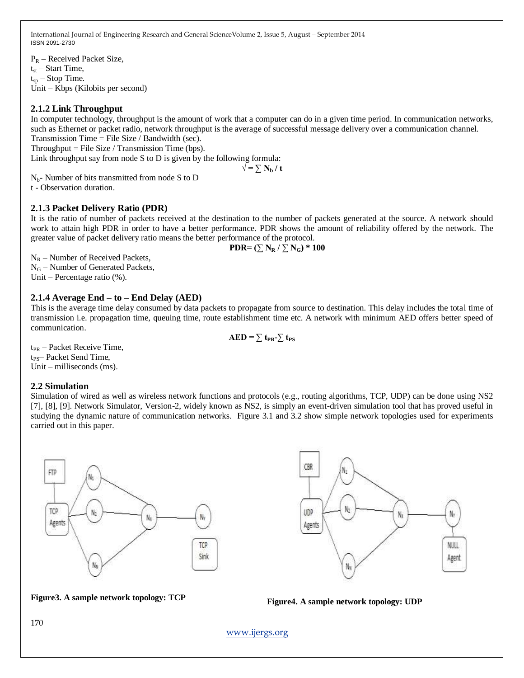$P_R$  – Received Packet Size,  $t_{st}$  – Start Time,  $t_{\rm sn}$  – Stop Time. Unit – Kbps (Kilobits per second)

#### **2.1.2 Link Throughput**

In computer technology, throughput is the amount of work that a computer can do in a given time period. In communication networks, such as Ethernet or packet radio, network throughput is the average of successful message delivery over a communication channel. Transmission Time = File Size / Bandwidth (sec).

Throughput  $=$  File Size / Transmission Time (bps).

Link throughput say from node S to D is given by the following formula:  $\sqrt{} = \sum_{\bf{b}} {\bf{N}_{\bf{b}}} / {\bf{t}}$ 

 $N_{b}$ - Number of bits transmitted from node S to D t - Observation duration.

#### **2.1.3 Packet Delivery Ratio (PDR)**

It is the ratio of number of packets received at the destination to the number of packets generated at the source. A network should work to attain high PDR in order to have a better performance. PDR shows the amount of reliability offered by the network. The greater value of packet delivery ratio means the better performance of the protocol.

PDR= 
$$
(\sum N_R / \sum N_G)
$$
 \* 100

 $N_R$  – Number of Received Packets, N<sub>G</sub> – Number of Generated Packets, Unit – Percentage ratio (%).

#### **2.1.4 Average End – to – End Delay (AED)**

This is the average time delay consumed by data packets to propagate from source to destination. This delay includes the total time of transmission i.e. propagation time, queuing time, route establishment time etc. A network with minimum AED offers better speed of communication.

$$
AED = \sum t_{PR} - \sum t_{PS}
$$

 $t_{PR}$  – Packet Receive Time, t<sub>PS</sub>– Packet Send Time, Unit – milliseconds (ms).

#### **2.2 Simulation**

Simulation of wired as well as wireless network functions and protocols (e.g., routing algorithms, TCP, UDP) can be done using NS2 [7], [8], [9]. Network Simulator, Version-2, widely known as NS2, is simply an event-driven simulation tool that has proved useful in studying the dynamic nature of communication networks. Figure 3.1 and 3.2 show simple network topologies used for experiments carried out in this paper.





### **Figure3. A sample network topology: TCP Figure4. A sample network topology: UDP**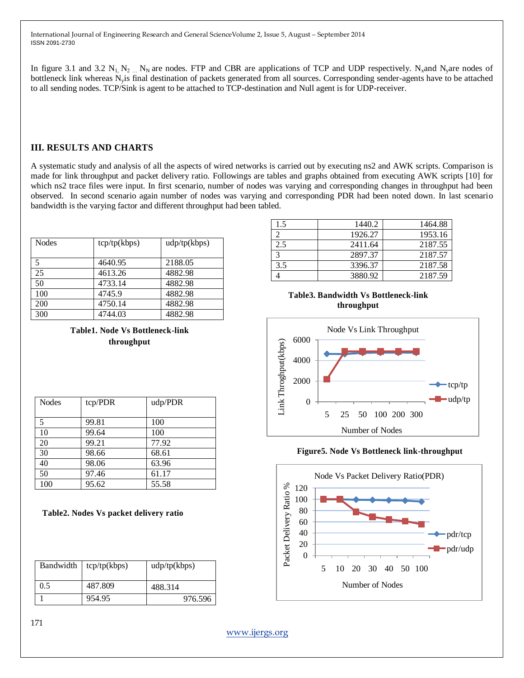In figure 3.1 and 3.2  $N_1$ ,  $N_2$   $N_N$  are nodes. FTP and CBR are applications of TCP and UDP respectively. N<sub>x</sub>and N<sub>y</sub>are nodes of bottleneck link whereas Nyis final destination of packets generated from all sources. Corresponding sender-agents have to be attached to all sending nodes. TCP/Sink is agent to be attached to TCP-destination and Null agent is for UDP-receiver.

#### **III. RESULTS AND CHARTS**

A systematic study and analysis of all the aspects of wired networks is carried out by executing ns2 and AWK scripts. Comparison is made for link throughput and packet delivery ratio. Followings are tables and graphs obtained from executing AWK scripts [10] for which ns2 trace files were input. In first scenario, number of nodes was varying and corresponding changes in throughput had been observed. In second scenario again number of nodes was varying and corresponding PDR had been noted down. In last scenario bandwidth is the varying factor and different throughput had been tabled.

| Nodes | $\text{tcp}{\langle \text{tp}(kbps) \rangle}$ | udp(tp(kbps) |
|-------|-----------------------------------------------|--------------|
| 5     | 4640.95                                       | 2188.05      |
| 25    | 4613.26                                       | 4882.98      |
| 50    | 4733.14                                       | 4882.98      |
| 100   | 4745.9                                        | 4882.98      |
| 200   | 4750.14                                       | 4882.98      |
| 300   | 4744.03                                       | 4882.98      |

**Table1. Node Vs Bottleneck-link throughput**

| <b>Nodes</b> | tcp/PDR | udp/PDR |
|--------------|---------|---------|
|              |         |         |
| 5            | 99.81   | 100     |
| 10           | 99.64   | 100     |
| 20           | 99.21   | 77.92   |
| 30           | 98.66   | 68.61   |
| 40           | 98.06   | 63.96   |
| 50           | 97.46   | 61.17   |
| 100          | 95.62   | 55.58   |

#### **Table2. Nodes Vs packet delivery ratio**

| Bandwidth | tcp(tp(kbps) | udp(tp(kbps) |
|-----------|--------------|--------------|
| 0.5       | 487.809      | 488.314      |
|           | 954.95       | 976.596      |

| 1.5 | 1440.2  | 1464.88 |
|-----|---------|---------|
|     | 1926.27 | 1953.16 |
| 2.5 | 2411.64 | 2187.55 |
|     | 2897.37 | 2187.57 |
| 3.5 | 3396.37 | 2187.58 |
|     | 3880.92 | 2187.59 |

**Table3. Bandwidth Vs Bottleneck-link throughput**



#### **Figure5. Node Vs Bottleneck link-throughput**

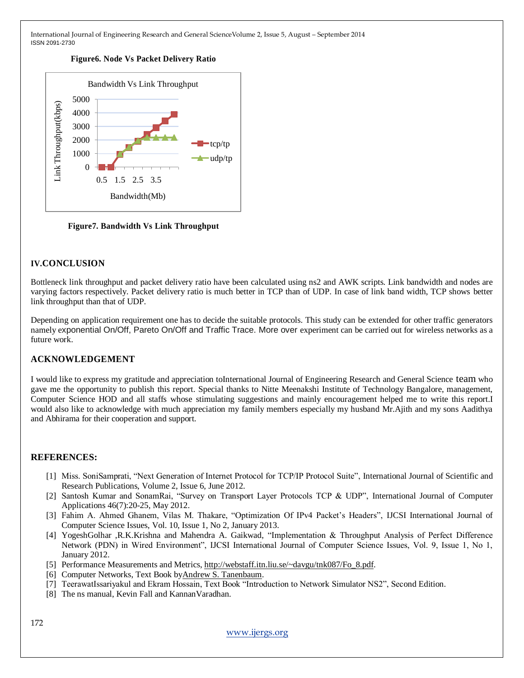#### **Figure6. Node Vs Packet Delivery Ratio**



**Figure7. Bandwidth Vs Link Throughput**

#### **IV.CONCLUSION**

Bottleneck link throughput and packet delivery ratio have been calculated using ns2 and AWK scripts. Link bandwidth and nodes are varying factors respectively. Packet delivery ratio is much better in TCP than of UDP. In case of link band width, TCP shows better link throughput than that of UDP.

Depending on application requirement one has to decide the suitable protocols. This study can be extended for other traffic generators namely exponential On/Off, Pareto On/Off and Traffic Trace. More over experiment can be carried out for wireless networks as a future work.

#### **ACKNOWLEDGEMENT**

I would like to express my gratitude and appreciation toInternational Journal of Engineering Research and General Science team who gave me the opportunity to publish this report. Special thanks to Nitte Meenakshi Institute of Technology Bangalore, management, Computer Science HOD and all staffs whose stimulating suggestions and mainly encouragement helped me to write this report.I would also like to acknowledge with much appreciation my family members especially my husband Mr.Ajith and my sons Aadithya and Abhirama for their cooperation and support.

#### **REFERENCES:**

- [1] Miss. SoniSamprati, "Next Generation of Internet Protocol for TCP/IP Protocol Suite", International Journal of Scientific and Research Publications, Volume 2, Issue 6, June 2012.
- [2] Santosh Kumar and SonamRai, "Survey on Transport Layer Protocols TCP & UDP", International Journal of Computer Applications 46(7):20-25, May 2012.
- [3] Fahim A. Ahmed Ghanem, Vilas M. Thakare, "Optimization Of IPv4 Packet's Headers", IJCSI International Journal of Computer Science Issues, Vol. 10, Issue 1, No 2, January 2013.
- [4] YogeshGolhar ,R.K.Krishna and Mahendra A. Gaikwad, "Implementation & Throughput Analysis of Perfect Difference Network (PDN) in Wired Environment", IJCSI International Journal of Computer Science Issues, Vol. 9, Issue 1, No 1, January 2012.
- [5] Performance Measurements and Metrics, [http://webstaff.itn.liu.se/~davgu/tnk087/Fo\\_8.pdf.](http://webstaff.itn.liu.se/~davgu/tnk087/Fo_8.pdf)
- [6] Computer Networks, Text Book b[yAndrew S. Tanenbaum.](http://www.amazon.com/Andrew-S.-Tanenbaum/e/B000AQ1UBW/ref=dp_byline_cont_book_1)
- [7] TeerawatIssariyakul and Ekram Hossain, Text Book "Introduction to Network Simulator NS2", Second Edition.
- [8] The ns manual, Kevin Fall and Kannan Varadhan.